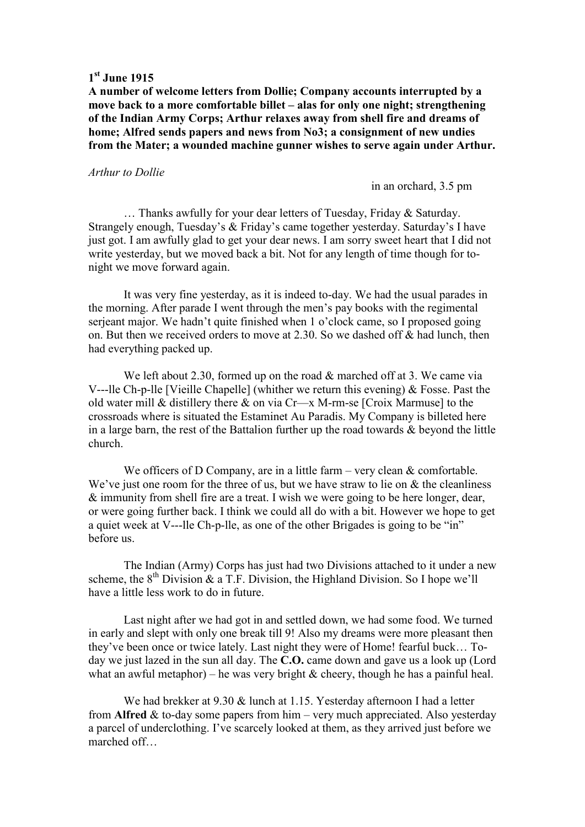# **1 st June 1915**

**A number of welcome letters from Dollie; Company accounts interrupted by a move back to a more comfortable billet – alas for only one night; strengthening of the Indian Army Corps; Arthur relaxes away from shell fire and dreams of home; Alfred sends papers and news from No3; a consignment of new undies from the Mater; a wounded machine gunner wishes to serve again under Arthur.** 

#### *Arthur to Dollie*

in an orchard, 3.5 pm

… Thanks awfully for your dear letters of Tuesday, Friday & Saturday. Strangely enough, Tuesday's & Friday's came together yesterday. Saturday's I have just got. I am awfully glad to get your dear news. I am sorry sweet heart that I did not write yesterday, but we moved back a bit. Not for any length of time though for tonight we move forward again.

 It was very fine yesterday, as it is indeed to-day. We had the usual parades in the morning. After parade I went through the men's pay books with the regimental serjeant major. We hadn't quite finished when 1 o'clock came, so I proposed going on. But then we received orders to move at 2.30. So we dashed off & had lunch, then had everything packed up.

We left about 2.30, formed up on the road & marched off at 3. We came via V---lle Ch-p-lle [Vieille Chapelle] (whither we return this evening) & Fosse. Past the old water mill & distillery there & on via Cr—x M-rm-se [Croix Marmuse] to the crossroads where is situated the Estaminet Au Paradis. My Company is billeted here in a large barn, the rest of the Battalion further up the road towards  $\&$  beyond the little church.

We officers of D Company, are in a little farm – very clean & comfortable. We've just one room for the three of us, but we have straw to lie on & the cleanliness & immunity from shell fire are a treat. I wish we were going to be here longer, dear, or were going further back. I think we could all do with a bit. However we hope to get a quiet week at V---lle Ch-p-lle, as one of the other Brigades is going to be "in" before us.

 The Indian (Army) Corps has just had two Divisions attached to it under a new scheme, the  $8<sup>th</sup>$  Division & a T.F. Division, the Highland Division. So I hope we'll have a little less work to do in future.

 Last night after we had got in and settled down, we had some food. We turned in early and slept with only one break till 9! Also my dreams were more pleasant then they've been once or twice lately. Last night they were of Home! fearful buck… Today we just lazed in the sun all day. The **C.O.** came down and gave us a look up (Lord what an awful metaphor) – he was very bright  $\&$  cheery, though he has a painful heal.

We had brekker at 9.30 & lunch at 1.15. Yesterday afternoon I had a letter from **Alfred** & to-day some papers from him – very much appreciated. Also yesterday a parcel of underclothing. I've scarcely looked at them, as they arrived just before we marched off…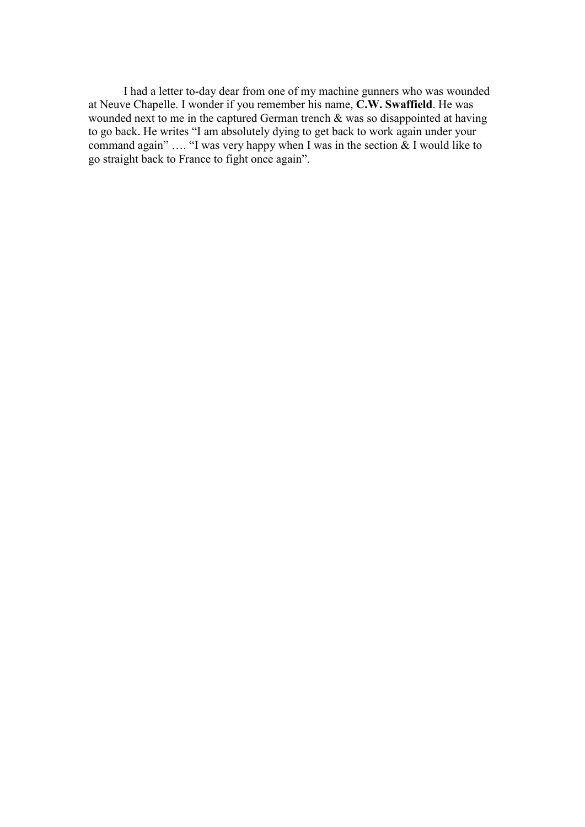I had a letter to-day dear from one of my machine gunners who was wounded at Neuve Chapelle. I wonder if you remember his name, **C.W. Swaffield**. He was wounded next to me in the captured German trench & was so disappointed at having to go back. He writes "I am absolutely dying to get back to work again under your command again" …. "I was very happy when I was in the section & I would like to go straight back to France to fight once again".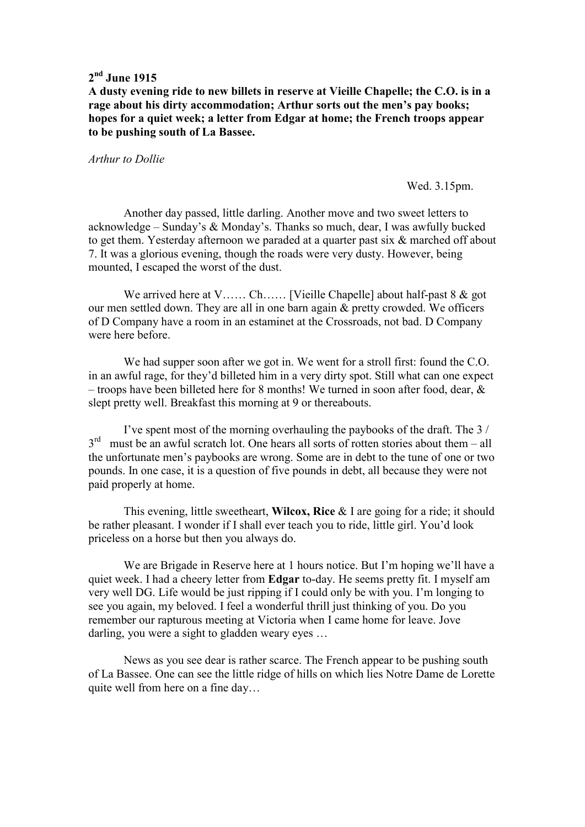# **2 nd June 1915**

**A dusty evening ride to new billets in reserve at Vieille Chapelle; the C.O. is in a rage about his dirty accommodation; Arthur sorts out the men's pay books; hopes for a quiet week; a letter from Edgar at home; the French troops appear to be pushing south of La Bassee.** 

#### *Arthur to Dollie*

Wed. 3.15pm.

 Another day passed, little darling. Another move and two sweet letters to acknowledge – Sunday's & Monday's. Thanks so much, dear, I was awfully bucked to get them. Yesterday afternoon we paraded at a quarter past six & marched off about 7. It was a glorious evening, though the roads were very dusty. However, being mounted, I escaped the worst of the dust.

We arrived here at V…… Ch…… [Vieille Chapelle] about half-past 8 & got our men settled down. They are all in one barn again & pretty crowded. We officers of D Company have a room in an estaminet at the Crossroads, not bad. D Company were here before.

 We had supper soon after we got in. We went for a stroll first: found the C.O. in an awful rage, for they'd billeted him in a very dirty spot. Still what can one expect – troops have been billeted here for 8 months! We turned in soon after food, dear, & slept pretty well. Breakfast this morning at 9 or thereabouts.

 I've spent most of the morning overhauling the paybooks of the draft. The 3 /  $3<sup>rd</sup>$  must be an awful scratch lot. One hears all sorts of rotten stories about them – all the unfortunate men's paybooks are wrong. Some are in debt to the tune of one or two pounds. In one case, it is a question of five pounds in debt, all because they were not paid properly at home.

 This evening, little sweetheart, **Wilcox, Rice** & I are going for a ride; it should be rather pleasant. I wonder if I shall ever teach you to ride, little girl. You'd look priceless on a horse but then you always do.

 We are Brigade in Reserve here at 1 hours notice. But I'm hoping we'll have a quiet week. I had a cheery letter from **Edgar** to-day. He seems pretty fit. I myself am very well DG. Life would be just ripping if I could only be with you. I'm longing to see you again, my beloved. I feel a wonderful thrill just thinking of you. Do you remember our rapturous meeting at Victoria when I came home for leave. Jove darling, you were a sight to gladden weary eyes …

 News as you see dear is rather scarce. The French appear to be pushing south of La Bassee. One can see the little ridge of hills on which lies Notre Dame de Lorette quite well from here on a fine day…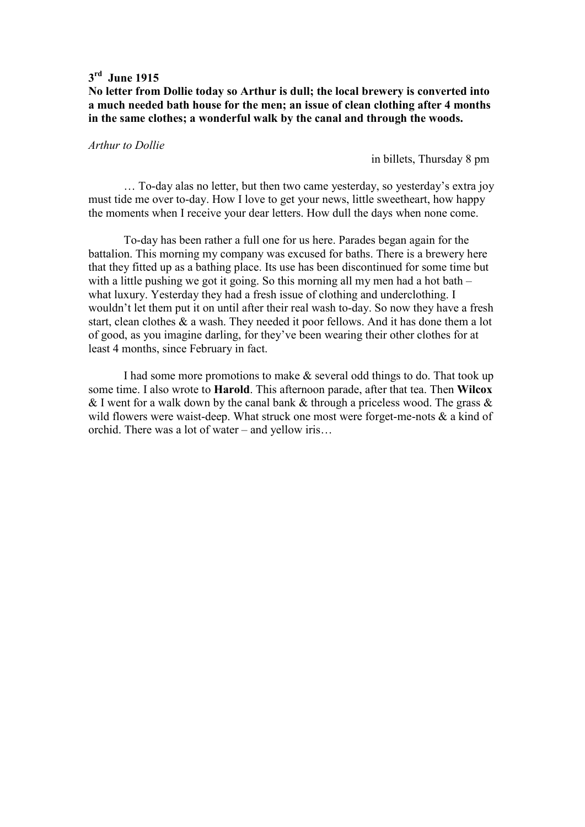# **3 rd June 1915**

**No letter from Dollie today so Arthur is dull; the local brewery is converted into a much needed bath house for the men; an issue of clean clothing after 4 months in the same clothes; a wonderful walk by the canal and through the woods.** 

### *Arthur to Dollie*

in billets, Thursday 8 pm

 … To-day alas no letter, but then two came yesterday, so yesterday's extra joy must tide me over to-day. How I love to get your news, little sweetheart, how happy the moments when I receive your dear letters. How dull the days when none come.

 To-day has been rather a full one for us here. Parades began again for the battalion. This morning my company was excused for baths. There is a brewery here that they fitted up as a bathing place. Its use has been discontinued for some time but with a little pushing we got it going. So this morning all my men had a hot bath – what luxury. Yesterday they had a fresh issue of clothing and underclothing. I wouldn't let them put it on until after their real wash to-day. So now they have a fresh start, clean clothes & a wash. They needed it poor fellows. And it has done them a lot of good, as you imagine darling, for they've been wearing their other clothes for at least 4 months, since February in fact.

 I had some more promotions to make & several odd things to do. That took up some time. I also wrote to **Harold**. This afternoon parade, after that tea. Then **Wilcox** & I went for a walk down by the canal bank & through a priceless wood. The grass  $\&$ wild flowers were waist-deep. What struck one most were forget-me-nots & a kind of orchid. There was a lot of water – and yellow iris…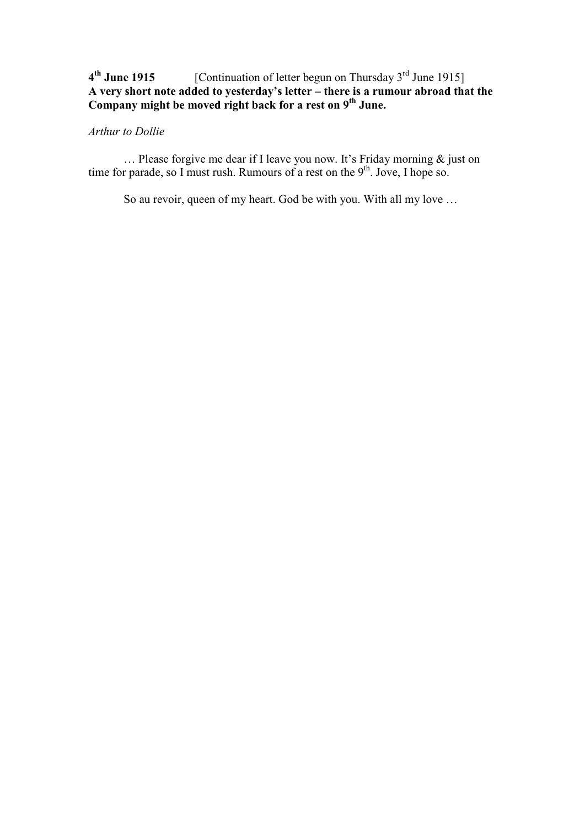# **4 th June 1915** [Continuation of letter begun on Thursday 3rd June 1915] **A very short note added to yesterday's letter – there is a rumour abroad that the Company might be moved right back for a rest on 9th June.**

## *Arthur to Dollie*

 … Please forgive me dear if I leave you now. It's Friday morning & just on time for parade, so I must rush. Rumours of a rest on the  $9<sup>th</sup>$ . Jove, I hope so.

So au revoir, queen of my heart. God be with you. With all my love …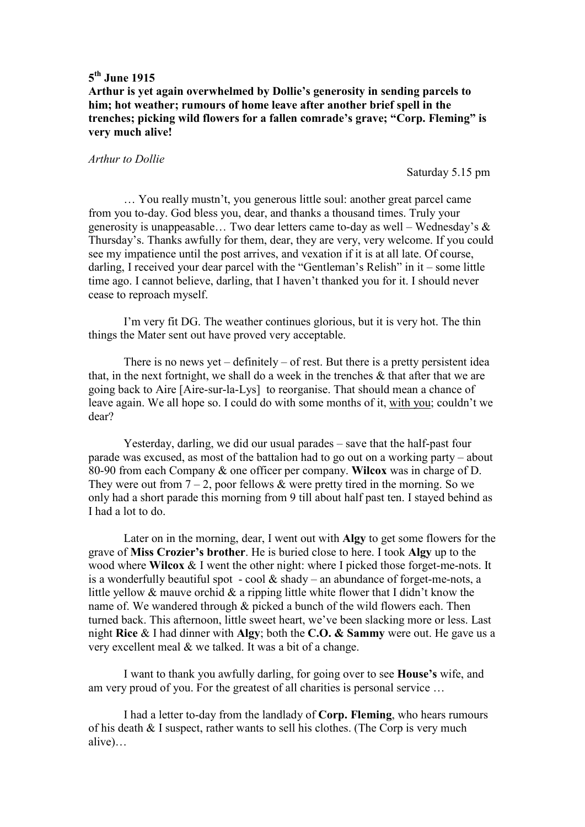**Arthur is yet again overwhelmed by Dollie's generosity in sending parcels to him; hot weather; rumours of home leave after another brief spell in the trenches; picking wild flowers for a fallen comrade's grave; "Corp. Fleming" is very much alive!** 

#### *Arthur to Dollie*

Saturday 5.15 pm

 … You really mustn't, you generous little soul: another great parcel came from you to-day. God bless you, dear, and thanks a thousand times. Truly your generosity is unappeasable... Two dear letters came to-day as well – Wednesday's  $\&$ Thursday's. Thanks awfully for them, dear, they are very, very welcome. If you could see my impatience until the post arrives, and vexation if it is at all late. Of course, darling, I received your dear parcel with the "Gentleman's Relish" in it – some little time ago. I cannot believe, darling, that I haven't thanked you for it. I should never cease to reproach myself.

 I'm very fit DG. The weather continues glorious, but it is very hot. The thin things the Mater sent out have proved very acceptable.

There is no news yet – definitely – of rest. But there is a pretty persistent idea that, in the next fortnight, we shall do a week in the trenches & that after that we are going back to Aire [Aire-sur-la-Lys] to reorganise. That should mean a chance of leave again. We all hope so. I could do with some months of it, with you; couldn't we dear?

 Yesterday, darling, we did our usual parades – save that the half-past four parade was excused, as most of the battalion had to go out on a working party – about 80-90 from each Company & one officer per company. **Wilcox** was in charge of D. They were out from  $7 - 2$ , poor fellows & were pretty tired in the morning. So we only had a short parade this morning from 9 till about half past ten. I stayed behind as I had a lot to do.

 Later on in the morning, dear, I went out with **Algy** to get some flowers for the grave of **Miss Crozier's brother**. He is buried close to here. I took **Algy** up to the wood where **Wilcox** & I went the other night: where I picked those forget-me-nots. It is a wonderfully beautiful spot - cool  $&$  shady – an abundance of forget-me-nots, a little yellow & mauve orchid & a ripping little white flower that I didn't know the name of. We wandered through & picked a bunch of the wild flowers each. Then turned back. This afternoon, little sweet heart, we've been slacking more or less. Last night **Rice** & I had dinner with **Algy**; both the **C.O. & Sammy** were out. He gave us a very excellent meal & we talked. It was a bit of a change.

I want to thank you awfully darling, for going over to see **House's** wife, and am very proud of you. For the greatest of all charities is personal service …

 I had a letter to-day from the landlady of **Corp. Fleming**, who hears rumours of his death & I suspect, rather wants to sell his clothes. (The Corp is very much alive)…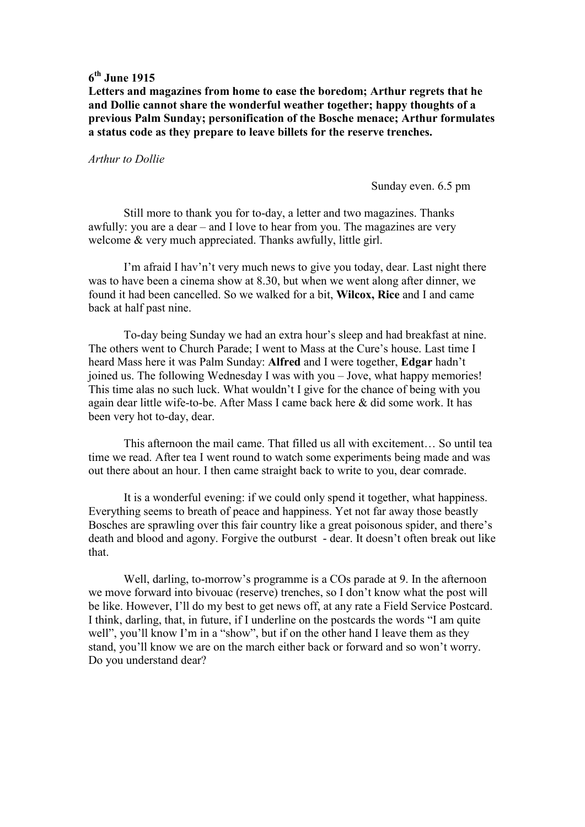**Letters and magazines from home to ease the boredom; Arthur regrets that he and Dollie cannot share the wonderful weather together; happy thoughts of a previous Palm Sunday; personification of the Bosche menace; Arthur formulates a status code as they prepare to leave billets for the reserve trenches.** 

#### *Arthur to Dollie*

Sunday even. 6.5 pm

 Still more to thank you for to-day, a letter and two magazines. Thanks awfully: you are a dear – and I love to hear from you. The magazines are very welcome & very much appreciated. Thanks awfully, little girl.

 I'm afraid I hav'n't very much news to give you today, dear. Last night there was to have been a cinema show at 8.30, but when we went along after dinner, we found it had been cancelled. So we walked for a bit, **Wilcox, Rice** and I and came back at half past nine.

 To-day being Sunday we had an extra hour's sleep and had breakfast at nine. The others went to Church Parade; I went to Mass at the Cure's house. Last time I heard Mass here it was Palm Sunday: **Alfred** and I were together, **Edgar** hadn't joined us. The following Wednesday I was with you – Jove, what happy memories! This time alas no such luck. What wouldn't I give for the chance of being with you again dear little wife-to-be. After Mass I came back here & did some work. It has been very hot to-day, dear.

 This afternoon the mail came. That filled us all with excitement… So until tea time we read. After tea I went round to watch some experiments being made and was out there about an hour. I then came straight back to write to you, dear comrade.

 It is a wonderful evening: if we could only spend it together, what happiness. Everything seems to breath of peace and happiness. Yet not far away those beastly Bosches are sprawling over this fair country like a great poisonous spider, and there's death and blood and agony. Forgive the outburst - dear. It doesn't often break out like that.

 Well, darling, to-morrow's programme is a COs parade at 9. In the afternoon we move forward into bivouac (reserve) trenches, so I don't know what the post will be like. However, I'll do my best to get news off, at any rate a Field Service Postcard. I think, darling, that, in future, if I underline on the postcards the words "I am quite well", you'll know I'm in a "show", but if on the other hand I leave them as they stand, you'll know we are on the march either back or forward and so won't worry. Do you understand dear?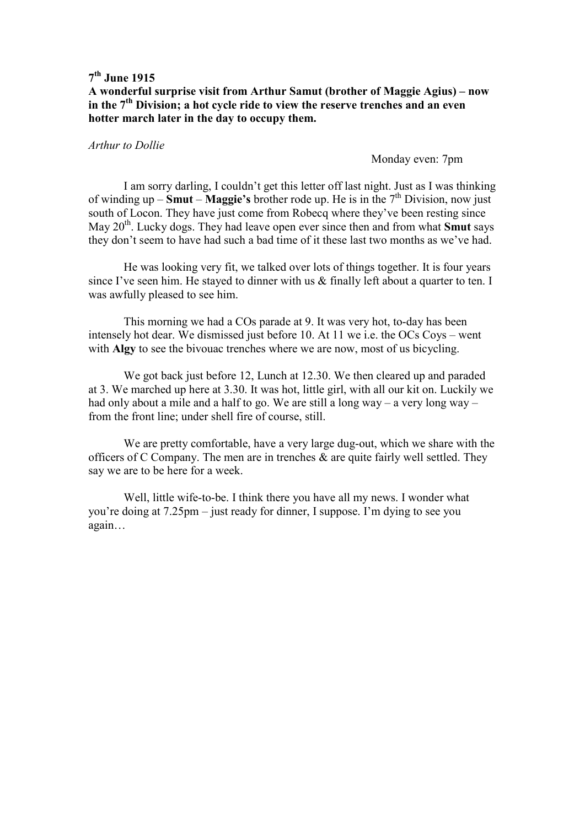# **A wonderful surprise visit from Arthur Samut (brother of Maggie Agius) – now in the 7th Division; a hot cycle ride to view the reserve trenches and an even hotter march later in the day to occupy them.**

### *Arthur to Dollie*

### Monday even: 7pm

 I am sorry darling, I couldn't get this letter off last night. Just as I was thinking of winding up – **Smut** – **Maggie's** brother rode up. He is in the  $7<sup>th</sup>$  Division, now just south of Locon. They have just come from Robecq where they've been resting since May 20<sup>th</sup>. Lucky dogs. They had leave open ever since then and from what **Smut** says they don't seem to have had such a bad time of it these last two months as we've had.

 He was looking very fit, we talked over lots of things together. It is four years since I've seen him. He stayed to dinner with us & finally left about a quarter to ten. I was awfully pleased to see him.

 This morning we had a COs parade at 9. It was very hot, to-day has been intensely hot dear. We dismissed just before 10. At 11 we i.e. the OCs Coys – went with **Algy** to see the bivouac trenches where we are now, most of us bicycling.

 We got back just before 12, Lunch at 12.30. We then cleared up and paraded at 3. We marched up here at 3.30. It was hot, little girl, with all our kit on. Luckily we had only about a mile and a half to go. We are still a long way – a very long way – from the front line; under shell fire of course, still.

 We are pretty comfortable, have a very large dug-out, which we share with the officers of C Company. The men are in trenches  $\&$  are quite fairly well settled. They say we are to be here for a week.

 Well, little wife-to-be. I think there you have all my news. I wonder what you're doing at 7.25pm – just ready for dinner, I suppose. I'm dying to see you again…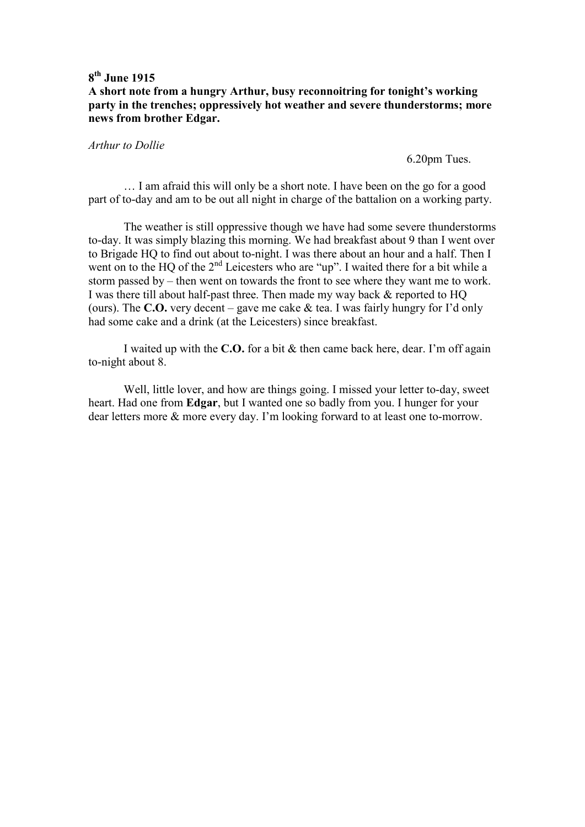## **A short note from a hungry Arthur, busy reconnoitring for tonight's working party in the trenches; oppressively hot weather and severe thunderstorms; more news from brother Edgar.**

### *Arthur to Dollie*

6.20pm Tues.

 … I am afraid this will only be a short note. I have been on the go for a good part of to-day and am to be out all night in charge of the battalion on a working party.

 The weather is still oppressive though we have had some severe thunderstorms to-day. It was simply blazing this morning. We had breakfast about 9 than I went over to Brigade HQ to find out about to-night. I was there about an hour and a half. Then I went on to the HQ of the 2<sup>nd</sup> Leicesters who are "up". I waited there for a bit while a storm passed by – then went on towards the front to see where they want me to work. I was there till about half-past three. Then made my way back & reported to HQ (ours). The **C.O.** very decent – gave me cake & tea. I was fairly hungry for I'd only had some cake and a drink (at the Leicesters) since breakfast.

 I waited up with the **C.O.** for a bit & then came back here, dear. I'm off again to-night about 8.

 Well, little lover, and how are things going. I missed your letter to-day, sweet heart. Had one from **Edgar**, but I wanted one so badly from you. I hunger for your dear letters more & more every day. I'm looking forward to at least one to-morrow.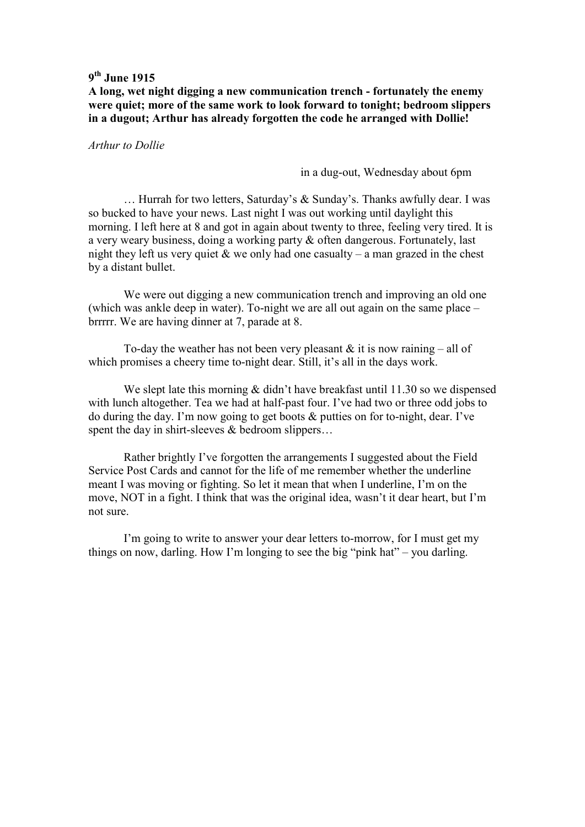**A long, wet night digging a new communication trench - fortunately the enemy were quiet; more of the same work to look forward to tonight; bedroom slippers in a dugout; Arthur has already forgotten the code he arranged with Dollie!** 

*Arthur to Dollie* 

in a dug-out, Wednesday about 6pm

 … Hurrah for two letters, Saturday's & Sunday's. Thanks awfully dear. I was so bucked to have your news. Last night I was out working until daylight this morning. I left here at 8 and got in again about twenty to three, feeling very tired. It is a very weary business, doing a working party & often dangerous. Fortunately, last night they left us very quiet  $\&$  we only had one casualty – a man grazed in the chest by a distant bullet.

 We were out digging a new communication trench and improving an old one (which was ankle deep in water). To-night we are all out again on the same place – brrrrr. We are having dinner at 7, parade at 8.

To-day the weather has not been very pleasant  $&$  it is now raining – all of which promises a cheery time to-night dear. Still, it's all in the days work.

We slept late this morning & didn't have breakfast until 11.30 so we dispensed with lunch altogether. Tea we had at half-past four. I've had two or three odd jobs to do during the day. I'm now going to get boots & putties on for to-night, dear. I've spent the day in shirt-sleeves & bedroom slippers...

 Rather brightly I've forgotten the arrangements I suggested about the Field Service Post Cards and cannot for the life of me remember whether the underline meant I was moving or fighting. So let it mean that when I underline, I'm on the move, NOT in a fight. I think that was the original idea, wasn't it dear heart, but I'm not sure.

 I'm going to write to answer your dear letters to-morrow, for I must get my things on now, darling. How I'm longing to see the big "pink hat" – you darling.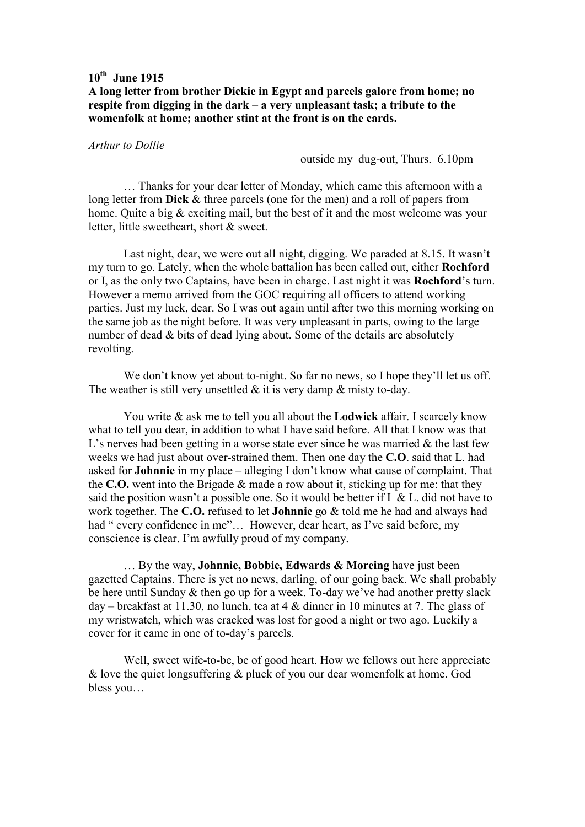## **A long letter from brother Dickie in Egypt and parcels galore from home; no respite from digging in the dark – a very unpleasant task; a tribute to the womenfolk at home; another stint at the front is on the cards.**

### *Arthur to Dollie*

outside my dug-out, Thurs. 6.10pm

 … Thanks for your dear letter of Monday, which came this afternoon with a long letter from **Dick** & three parcels (one for the men) and a roll of papers from home. Quite a big & exciting mail, but the best of it and the most welcome was your letter, little sweetheart, short & sweet.

 Last night, dear, we were out all night, digging. We paraded at 8.15. It wasn't my turn to go. Lately, when the whole battalion has been called out, either **Rochford** or I, as the only two Captains, have been in charge. Last night it was **Rochford**'s turn. However a memo arrived from the GOC requiring all officers to attend working parties. Just my luck, dear. So I was out again until after two this morning working on the same job as the night before. It was very unpleasant in parts, owing to the large number of dead & bits of dead lying about. Some of the details are absolutely revolting.

We don't know yet about to-night. So far no news, so I hope they'll let us off. The weather is still very unsettled  $&$  it is very damp  $&$  misty to-day.

 You write & ask me to tell you all about the **Lodwick** affair. I scarcely know what to tell you dear, in addition to what I have said before. All that I know was that L's nerves had been getting in a worse state ever since he was married  $\&$  the last few weeks we had just about over-strained them. Then one day the **C.O**. said that L. had asked for **Johnnie** in my place – alleging I don't know what cause of complaint. That the **C.O.** went into the Brigade & made a row about it, sticking up for me: that they said the position wasn't a possible one. So it would be better if  $I \& L$ . did not have to work together. The **C.O.** refused to let **Johnnie** go & told me he had and always had had " every confidence in me"... However, dear heart, as I've said before, my conscience is clear. I'm awfully proud of my company.

 … By the way, **Johnnie, Bobbie, Edwards & Moreing** have just been gazetted Captains. There is yet no news, darling, of our going back. We shall probably be here until Sunday & then go up for a week. To-day we've had another pretty slack day – breakfast at 11.30, no lunch, tea at 4 & dinner in 10 minutes at 7. The glass of my wristwatch, which was cracked was lost for good a night or two ago. Luckily a cover for it came in one of to-day's parcels.

 Well, sweet wife-to-be, be of good heart. How we fellows out here appreciate & love the quiet longsuffering & pluck of you our dear womenfolk at home. God bless you…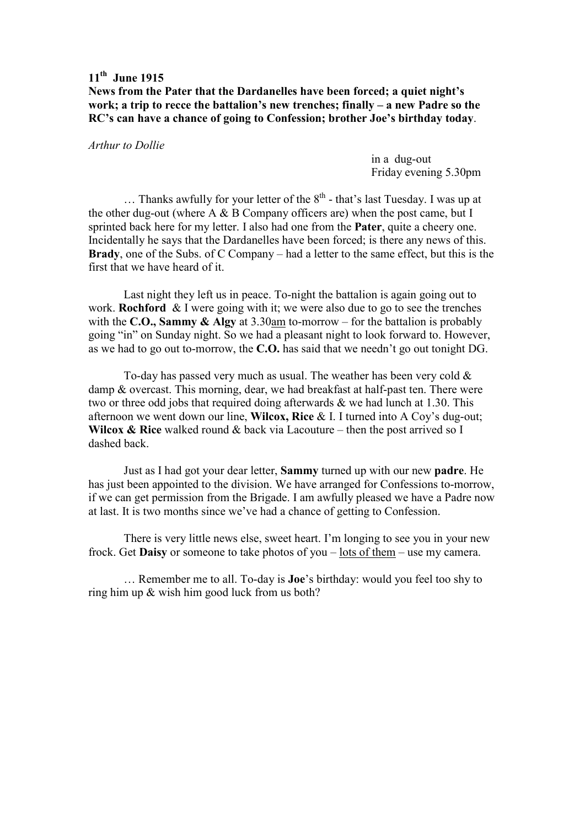**News from the Pater that the Dardanelles have been forced; a quiet night's work; a trip to recce the battalion's new trenches; finally – a new Padre so the RC's can have a chance of going to Confession; brother Joe's birthday today**.

*Arthur to Dollie* 

 in a dug-out Friday evening 5.30pm

 $\ldots$  Thanks awfully for your letter of the  $8^{th}$  - that's last Tuesday. I was up at the other dug-out (where  $A \& B$  Company officers are) when the post came, but I sprinted back here for my letter. I also had one from the **Pater**, quite a cheery one. Incidentally he says that the Dardanelles have been forced; is there any news of this. **Brady**, one of the Subs. of C Company – had a letter to the same effect, but this is the first that we have heard of it.

 Last night they left us in peace. To-night the battalion is again going out to work. **Rochford** & I were going with it; we were also due to go to see the trenches with the **C.O., Sammy & Algy** at 3.30am to-morrow – for the battalion is probably going "in" on Sunday night. So we had a pleasant night to look forward to. However, as we had to go out to-morrow, the **C.O.** has said that we needn't go out tonight DG.

To-day has passed very much as usual. The weather has been very cold  $\&$ damp & overcast. This morning, dear, we had breakfast at half-past ten. There were two or three odd jobs that required doing afterwards & we had lunch at 1.30. This afternoon we went down our line, **Wilcox, Rice** & I. I turned into A Coy's dug-out; **Wilcox & Rice** walked round & back via Lacouture – then the post arrived so I dashed back.

 Just as I had got your dear letter, **Sammy** turned up with our new **padre**. He has just been appointed to the division. We have arranged for Confessions to-morrow, if we can get permission from the Brigade. I am awfully pleased we have a Padre now at last. It is two months since we've had a chance of getting to Confession.

 There is very little news else, sweet heart. I'm longing to see you in your new frock. Get **Daisy** or someone to take photos of you – lots of them – use my camera.

… Remember me to all. To-day is **Joe**'s birthday: would you feel too shy to ring him up & wish him good luck from us both?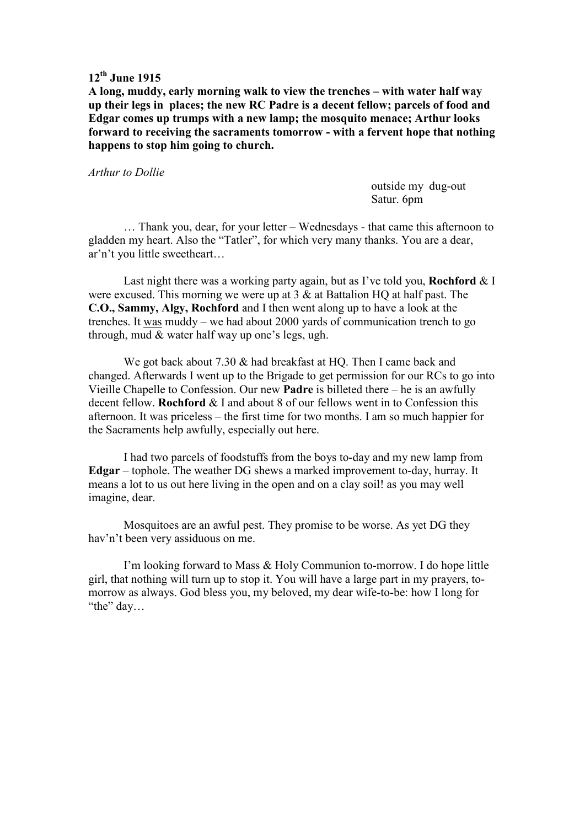**A long, muddy, early morning walk to view the trenches – with water half way up their legs in places; the new RC Padre is a decent fellow; parcels of food and Edgar comes up trumps with a new lamp; the mosquito menace; Arthur looks forward to receiving the sacraments tomorrow - with a fervent hope that nothing happens to stop him going to church.** 

### *Arthur to Dollie*

 outside my dug-out Satur. 6pm

 … Thank you, dear, for your letter – Wednesdays - that came this afternoon to gladden my heart. Also the "Tatler", for which very many thanks. You are a dear, ar'n't you little sweetheart…

 Last night there was a working party again, but as I've told you, **Rochford** & I were excused. This morning we were up at 3 & at Battalion HQ at half past. The **C.O., Sammy, Algy, Rochford** and I then went along up to have a look at the trenches. It was muddy – we had about 2000 yards of communication trench to go through, mud & water half way up one's legs, ugh.

We got back about 7.30  $\&$  had breakfast at HO. Then I came back and changed. Afterwards I went up to the Brigade to get permission for our RCs to go into Vieille Chapelle to Confession. Our new **Padre** is billeted there – he is an awfully decent fellow. **Rochford** & I and about 8 of our fellows went in to Confession this afternoon. It was priceless – the first time for two months. I am so much happier for the Sacraments help awfully, especially out here.

 I had two parcels of foodstuffs from the boys to-day and my new lamp from **Edgar** – tophole. The weather DG shews a marked improvement to-day, hurray. It means a lot to us out here living in the open and on a clay soil! as you may well imagine, dear.

 Mosquitoes are an awful pest. They promise to be worse. As yet DG they hav'n't been very assiduous on me.

 I'm looking forward to Mass & Holy Communion to-morrow. I do hope little girl, that nothing will turn up to stop it. You will have a large part in my prayers, tomorrow as always. God bless you, my beloved, my dear wife-to-be: how I long for "the" day…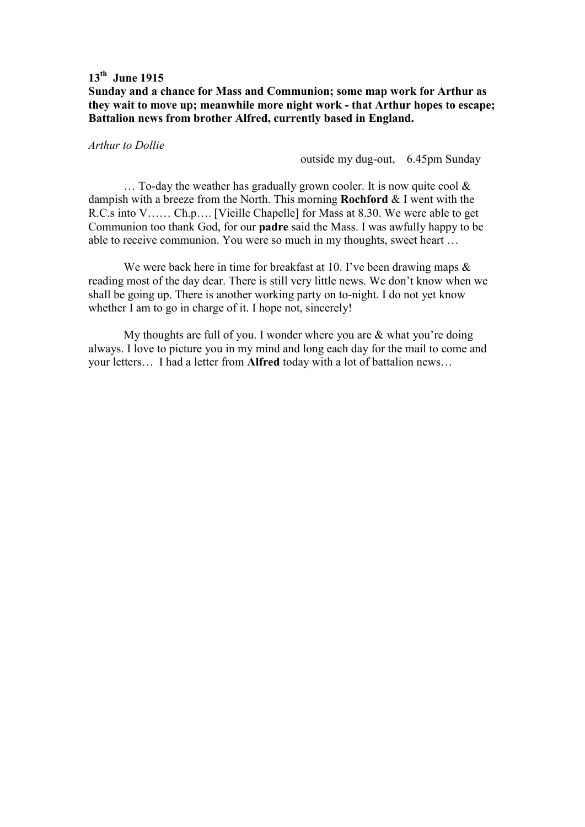## **Sunday and a chance for Mass and Communion; some map work for Arthur as they wait to move up; meanwhile more night work - that Arthur hopes to escape; Battalion news from brother Alfred, currently based in England.**

### *Arthur to Dollie*

outside my dug-out, 6.45pm Sunday

 $\ldots$  To-day the weather has gradually grown cooler. It is now quite cool  $\&$ dampish with a breeze from the North. This morning **Rochford** & I went with the R.C.s into V…… Ch.p…. [Vieille Chapelle] for Mass at 8.30. We were able to get Communion too thank God, for our **padre** said the Mass. I was awfully happy to be able to receive communion. You were so much in my thoughts, sweet heart …

We were back here in time for breakfast at 10. I've been drawing maps  $\&$ reading most of the day dear. There is still very little news. We don't know when we shall be going up. There is another working party on to-night. I do not yet know whether I am to go in charge of it. I hope not, sincerely!

 My thoughts are full of you. I wonder where you are & what you're doing always. I love to picture you in my mind and long each day for the mail to come and your letters… I had a letter from **Alfred** today with a lot of battalion news…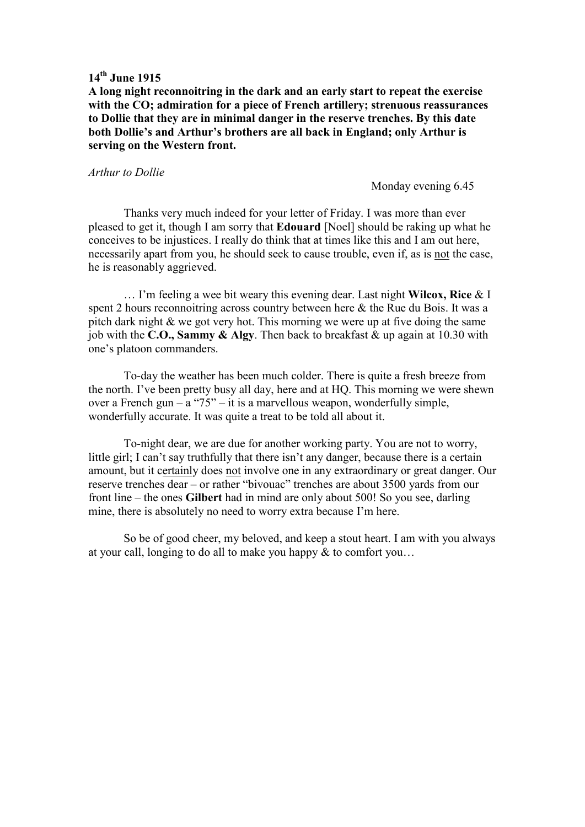**A long night reconnoitring in the dark and an early start to repeat the exercise with the CO; admiration for a piece of French artillery; strenuous reassurances to Dollie that they are in minimal danger in the reserve trenches. By this date both Dollie's and Arthur's brothers are all back in England; only Arthur is serving on the Western front.** 

#### *Arthur to Dollie*

Monday evening 6.45

Thanks very much indeed for your letter of Friday. I was more than ever pleased to get it, though I am sorry that **Edouard** [Noel] should be raking up what he conceives to be injustices. I really do think that at times like this and I am out here, necessarily apart from you, he should seek to cause trouble, even if, as is not the case, he is reasonably aggrieved.

 … I'm feeling a wee bit weary this evening dear. Last night **Wilcox, Rice** & I spent 2 hours reconnoitring across country between here & the Rue du Bois. It was a pitch dark night & we got very hot. This morning we were up at five doing the same job with the **C.O., Sammy & Algy**. Then back to breakfast & up again at 10.30 with one's platoon commanders.

 To-day the weather has been much colder. There is quite a fresh breeze from the north. I've been pretty busy all day, here and at HQ. This morning we were shewn over a French gun – a " $75$ " – it is a marvellous weapon, wonderfully simple, wonderfully accurate. It was quite a treat to be told all about it.

 To-night dear, we are due for another working party. You are not to worry, little girl; I can't say truthfully that there isn't any danger, because there is a certain amount, but it certainly does not involve one in any extraordinary or great danger. Our reserve trenches dear – or rather "bivouac" trenches are about 3500 yards from our front line – the ones **Gilbert** had in mind are only about 500! So you see, darling mine, there is absolutely no need to worry extra because I'm here.

 So be of good cheer, my beloved, and keep a stout heart. I am with you always at your call, longing to do all to make you happy & to comfort you…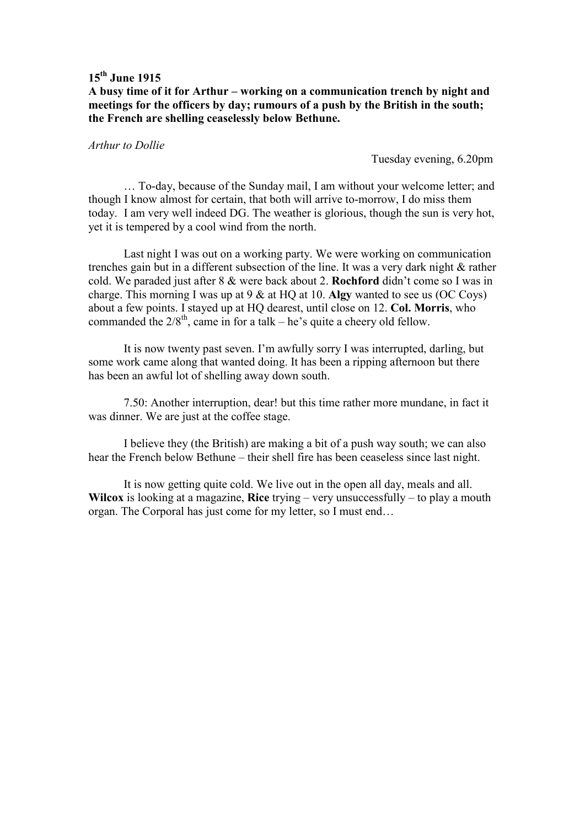## **A busy time of it for Arthur – working on a communication trench by night and meetings for the officers by day; rumours of a push by the British in the south; the French are shelling ceaselessly below Bethune.**

### *Arthur to Dollie*

Tuesday evening, 6.20pm

 … To-day, because of the Sunday mail, I am without your welcome letter; and though I know almost for certain, that both will arrive to-morrow, I do miss them today. I am very well indeed DG. The weather is glorious, though the sun is very hot, yet it is tempered by a cool wind from the north.

 Last night I was out on a working party. We were working on communication trenches gain but in a different subsection of the line. It was a very dark night & rather cold. We paraded just after 8 & were back about 2. **Rochford** didn't come so I was in charge. This morning I was up at 9 & at HQ at 10. **Algy** wanted to see us (OC Coys) about a few points. I stayed up at HQ dearest, until close on 12. **Col. Morris**, who commanded the  $2/8$ <sup>th</sup>, came in for a talk – he's quite a cheery old fellow.

 It is now twenty past seven. I'm awfully sorry I was interrupted, darling, but some work came along that wanted doing. It has been a ripping afternoon but there has been an awful lot of shelling away down south.

 7.50: Another interruption, dear! but this time rather more mundane, in fact it was dinner. We are just at the coffee stage.

 I believe they (the British) are making a bit of a push way south; we can also hear the French below Bethune – their shell fire has been ceaseless since last night.

 It is now getting quite cold. We live out in the open all day, meals and all. **Wilcox** is looking at a magazine, **Rice** trying – very unsuccessfully – to play a mouth organ. The Corporal has just come for my letter, so I must end…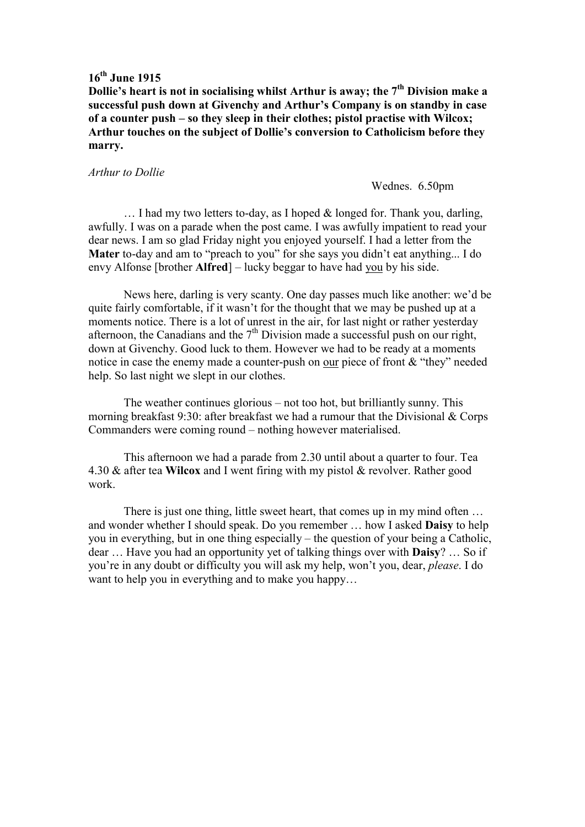**Dollie's heart is not in socialising whilst Arthur is away; the 7th Division make a successful push down at Givenchy and Arthur's Company is on standby in case of a counter push – so they sleep in their clothes; pistol practise with Wilcox; Arthur touches on the subject of Dollie's conversion to Catholicism before they marry.** 

#### *Arthur to Dollie*

#### Wednes. 6.50pm

 $\ldots$  I had my two letters to-day, as I hoped & longed for. Thank you, darling, awfully. I was on a parade when the post came. I was awfully impatient to read your dear news. I am so glad Friday night you enjoyed yourself. I had a letter from the **Mater** to-day and am to "preach to you" for she says you didn't eat anything... I do envy Alfonse [brother **Alfred**] – lucky beggar to have had you by his side.

 News here, darling is very scanty. One day passes much like another: we'd be quite fairly comfortable, if it wasn't for the thought that we may be pushed up at a moments notice. There is a lot of unrest in the air, for last night or rather yesterday afternoon, the Canadians and the  $7<sup>th</sup>$  Division made a successful push on our right, down at Givenchy. Good luck to them. However we had to be ready at a moments notice in case the enemy made a counter-push on our piece of front & "they" needed help. So last night we slept in our clothes.

 The weather continues glorious – not too hot, but brilliantly sunny. This morning breakfast 9:30: after breakfast we had a rumour that the Divisional & Corps Commanders were coming round – nothing however materialised.

 This afternoon we had a parade from 2.30 until about a quarter to four. Tea 4.30 & after tea **Wilcox** and I went firing with my pistol & revolver. Rather good work.

There is just one thing, little sweet heart, that comes up in my mind often ... and wonder whether I should speak. Do you remember … how I asked **Daisy** to help you in everything, but in one thing especially – the question of your being a Catholic, dear … Have you had an opportunity yet of talking things over with **Daisy**? … So if you're in any doubt or difficulty you will ask my help, won't you, dear, *please*. I do want to help you in everything and to make you happy…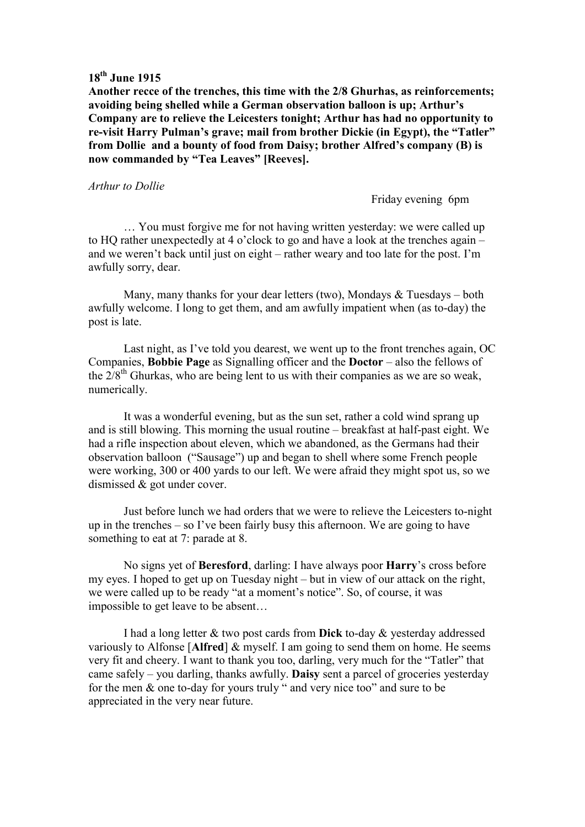**Another recce of the trenches, this time with the 2/8 Ghurhas, as reinforcements; avoiding being shelled while a German observation balloon is up; Arthur's Company are to relieve the Leicesters tonight; Arthur has had no opportunity to re-visit Harry Pulman's grave; mail from brother Dickie (in Egypt), the "Tatler" from Dollie and a bounty of food from Daisy; brother Alfred's company (B) is now commanded by "Tea Leaves" [Reeves].** 

#### *Arthur to Dollie*

Friday evening 6pm

 … You must forgive me for not having written yesterday: we were called up to HQ rather unexpectedly at 4 o'clock to go and have a look at the trenches again – and we weren't back until just on eight – rather weary and too late for the post. I'm awfully sorry, dear.

 Many, many thanks for your dear letters (two), Mondays & Tuesdays – both awfully welcome. I long to get them, and am awfully impatient when (as to-day) the post is late.

 Last night, as I've told you dearest, we went up to the front trenches again, OC Companies, **Bobbie Page** as Signalling officer and the **Doctor** – also the fellows of the  $2/8$ <sup>th</sup> Ghurkas, who are being lent to us with their companies as we are so weak, numerically.

 It was a wonderful evening, but as the sun set, rather a cold wind sprang up and is still blowing. This morning the usual routine – breakfast at half-past eight. We had a rifle inspection about eleven, which we abandoned, as the Germans had their observation balloon ("Sausage") up and began to shell where some French people were working, 300 or 400 yards to our left. We were afraid they might spot us, so we dismissed & got under cover.

 Just before lunch we had orders that we were to relieve the Leicesters to-night up in the trenches – so I've been fairly busy this afternoon. We are going to have something to eat at 7: parade at 8.

 No signs yet of **Beresford**, darling: I have always poor **Harry**'s cross before my eyes. I hoped to get up on Tuesday night – but in view of our attack on the right, we were called up to be ready "at a moment's notice". So, of course, it was impossible to get leave to be absent…

 I had a long letter & two post cards from **Dick** to-day & yesterday addressed variously to Alfonse [**Alfred**] & myself. I am going to send them on home. He seems very fit and cheery. I want to thank you too, darling, very much for the "Tatler" that came safely – you darling, thanks awfully. **Daisy** sent a parcel of groceries yesterday for the men & one to-day for yours truly " and very nice too" and sure to be appreciated in the very near future.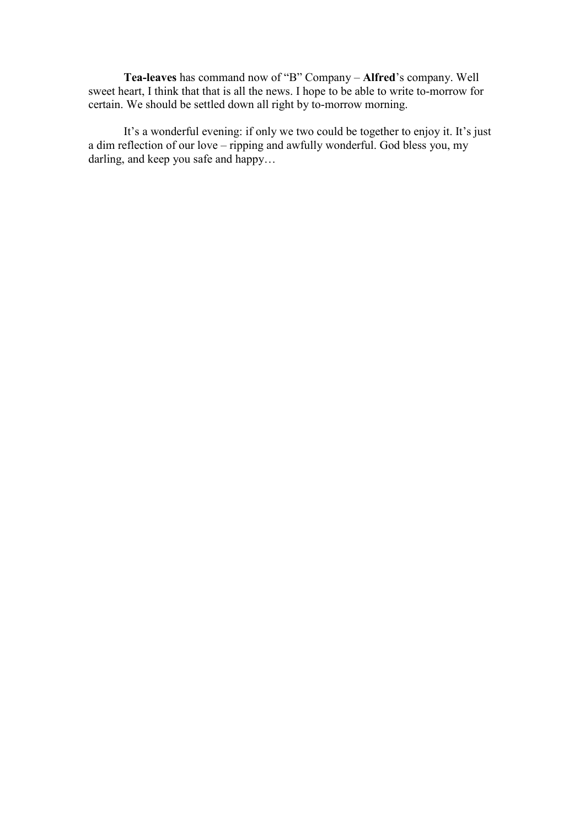**Tea-leaves** has command now of "B" Company – **Alfred**'s company. Well sweet heart, I think that that is all the news. I hope to be able to write to-morrow for certain. We should be settled down all right by to-morrow morning.

 It's a wonderful evening: if only we two could be together to enjoy it. It's just a dim reflection of our love – ripping and awfully wonderful. God bless you, my darling, and keep you safe and happy…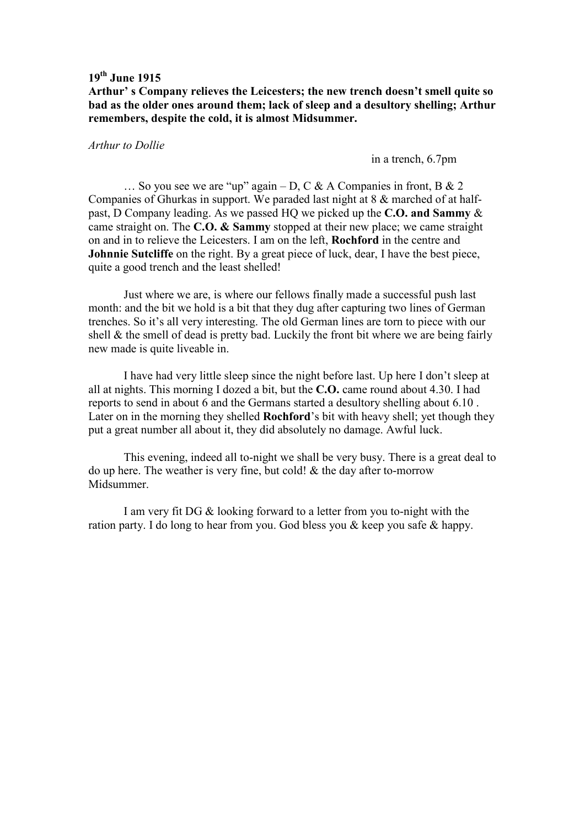**Arthur' s Company relieves the Leicesters; the new trench doesn't smell quite so bad as the older ones around them; lack of sleep and a desultory shelling; Arthur remembers, despite the cold, it is almost Midsummer.** 

### *Arthur to Dollie*

in a trench, 6.7pm

... So you see we are "up" again – D, C & A Companies in front, B & 2 Companies of Ghurkas in support. We paraded last night at 8 & marched of at halfpast, D Company leading. As we passed HQ we picked up the **C.O. and Sammy** & came straight on. The **C.O. & Sammy** stopped at their new place; we came straight on and in to relieve the Leicesters. I am on the left, **Rochford** in the centre and **Johnnie Sutcliffe** on the right. By a great piece of luck, dear, I have the best piece, quite a good trench and the least shelled!

 Just where we are, is where our fellows finally made a successful push last month: and the bit we hold is a bit that they dug after capturing two lines of German trenches. So it's all very interesting. The old German lines are torn to piece with our shell & the smell of dead is pretty bad. Luckily the front bit where we are being fairly new made is quite liveable in.

 I have had very little sleep since the night before last. Up here I don't sleep at all at nights. This morning I dozed a bit, but the **C.O.** came round about 4.30. I had reports to send in about 6 and the Germans started a desultory shelling about 6.10 . Later on in the morning they shelled **Rochford**'s bit with heavy shell; yet though they put a great number all about it, they did absolutely no damage. Awful luck.

 This evening, indeed all to-night we shall be very busy. There is a great deal to do up here. The weather is very fine, but cold! & the day after to-morrow Midsummer.

 I am very fit DG & looking forward to a letter from you to-night with the ration party. I do long to hear from you. God bless you & keep you safe & happy.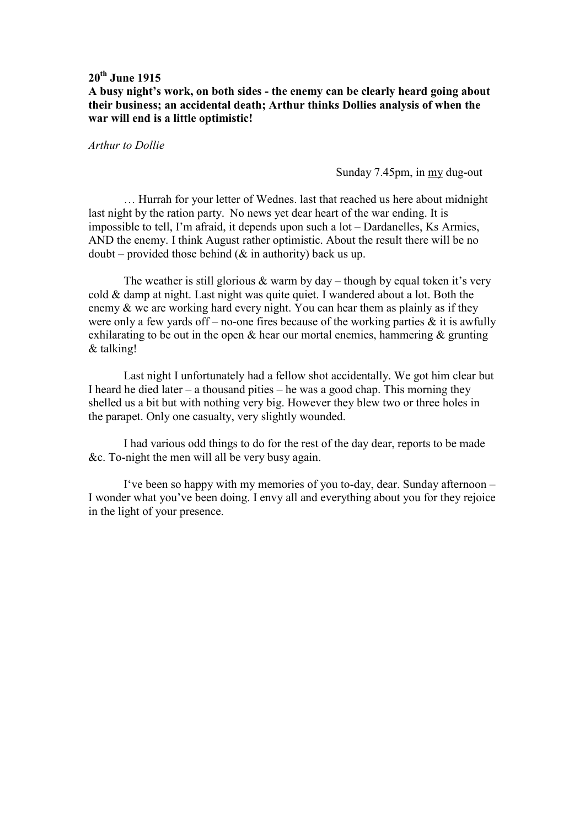**A busy night's work, on both sides - the enemy can be clearly heard going about their business; an accidental death; Arthur thinks Dollies analysis of when the war will end is a little optimistic!** 

*Arthur to Dollie* 

Sunday 7.45pm, in my dug-out

 … Hurrah for your letter of Wednes. last that reached us here about midnight last night by the ration party. No news yet dear heart of the war ending. It is impossible to tell, I'm afraid, it depends upon such a lot – Dardanelles, Ks Armies, AND the enemy. I think August rather optimistic. About the result there will be no  $doubt$  – provided those behind ( $&$  in authority) back us up.

The weather is still glorious  $&$  warm by day – though by equal token it's very cold & damp at night. Last night was quite quiet. I wandered about a lot. Both the enemy & we are working hard every night. You can hear them as plainly as if they were only a few yards of  $f$  – no-one fires because of the working parties  $\&$  it is awfully exhilarating to be out in the open  $\&$  hear our mortal enemies, hammering  $\&$  grunting & talking!

 Last night I unfortunately had a fellow shot accidentally. We got him clear but I heard he died later – a thousand pities – he was a good chap. This morning they shelled us a bit but with nothing very big. However they blew two or three holes in the parapet. Only one casualty, very slightly wounded.

 I had various odd things to do for the rest of the day dear, reports to be made &c. To-night the men will all be very busy again.

 I've been so happy with my memories of you to-day, dear. Sunday afternoon – I wonder what you've been doing. I envy all and everything about you for they rejoice in the light of your presence.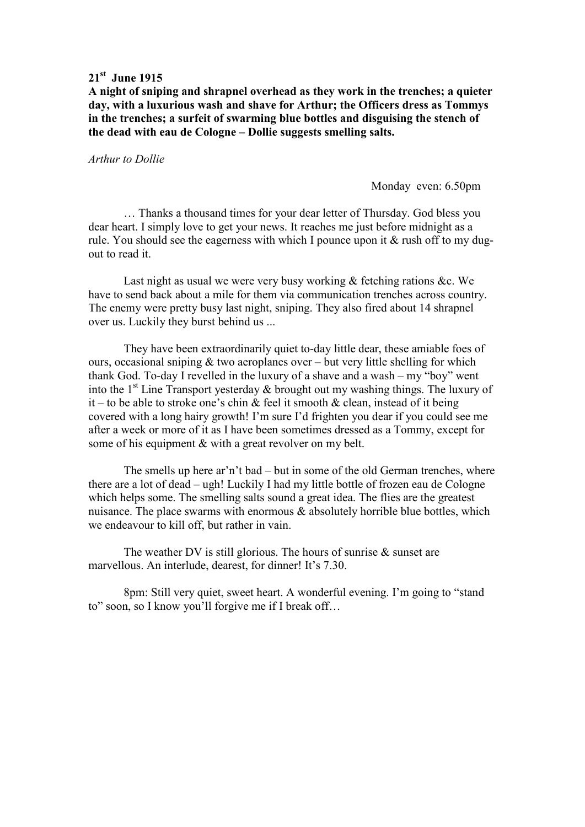## **21st June 1915**

**A night of sniping and shrapnel overhead as they work in the trenches; a quieter day, with a luxurious wash and shave for Arthur; the Officers dress as Tommys in the trenches; a surfeit of swarming blue bottles and disguising the stench of the dead with eau de Cologne – Dollie suggests smelling salts.** 

*Arthur to Dollie* 

Monday even: 6.50pm

 … Thanks a thousand times for your dear letter of Thursday. God bless you dear heart. I simply love to get your news. It reaches me just before midnight as a rule. You should see the eagerness with which I pounce upon it & rush off to my dugout to read it.

Last night as usual we were very busy working & fetching rations &c. We have to send back about a mile for them via communication trenches across country. The enemy were pretty busy last night, sniping. They also fired about 14 shrapnel over us. Luckily they burst behind us ...

 They have been extraordinarily quiet to-day little dear, these amiable foes of ours, occasional sniping & two aeroplanes over – but very little shelling for which thank God. To-day I revelled in the luxury of a shave and a wash – my "boy" went into the  $1<sup>st</sup>$  Line Transport yesterday & brought out my washing things. The luxury of it – to be able to stroke one's chin  $\&$  feel it smooth  $\&$  clean, instead of it being covered with a long hairy growth! I'm sure I'd frighten you dear if you could see me after a week or more of it as I have been sometimes dressed as a Tommy, except for some of his equipment & with a great revolver on my belt.

 The smells up here ar'n't bad – but in some of the old German trenches, where there are a lot of dead – ugh! Luckily I had my little bottle of frozen eau de Cologne which helps some. The smelling salts sound a great idea. The flies are the greatest nuisance. The place swarms with enormous & absolutely horrible blue bottles, which we endeavour to kill off, but rather in vain.

The weather DV is still glorious. The hours of sunrise  $\&$  sunset are marvellous. An interlude, dearest, for dinner! It's 7.30.

8pm: Still very quiet, sweet heart. A wonderful evening. I'm going to "stand to" soon, so I know you'll forgive me if I break off…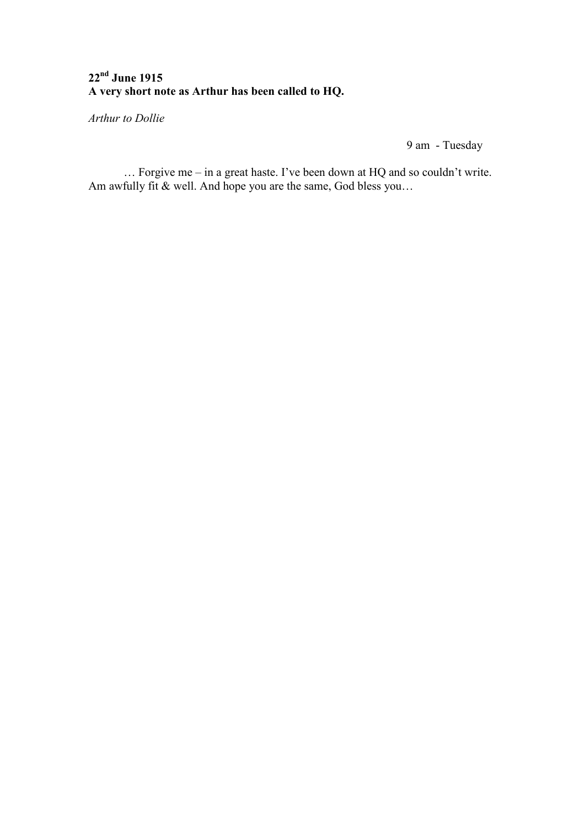# **22nd June 1915 A very short note as Arthur has been called to HQ.**

*Arthur to Dollie* 

9 am - Tuesday

 … Forgive me – in a great haste. I've been down at HQ and so couldn't write. Am awfully fit & well. And hope you are the same, God bless you…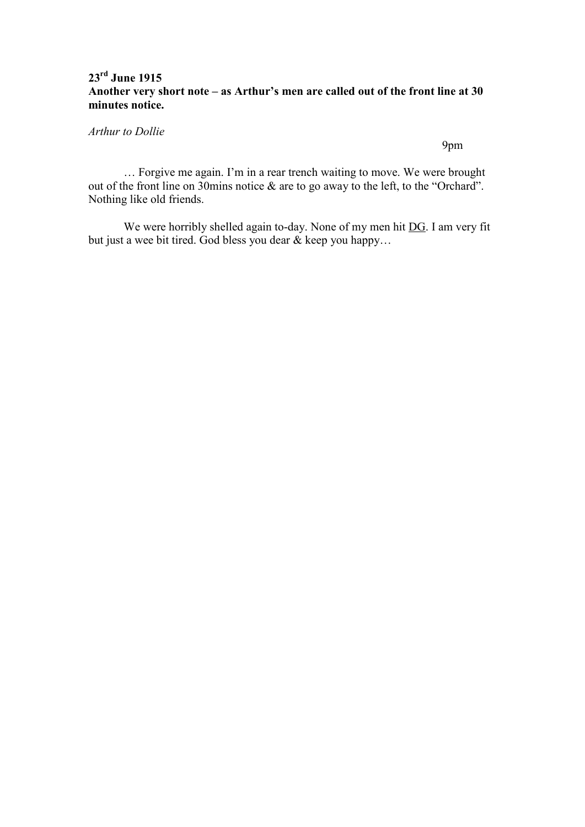# **23rd June 1915 Another very short note – as Arthur's men are called out of the front line at 30 minutes notice.**

*Arthur to Dollie* 

9pm

 … Forgive me again. I'm in a rear trench waiting to move. We were brought out of the front line on 30mins notice & are to go away to the left, to the "Orchard". Nothing like old friends.

We were horribly shelled again to-day. None of my men hit DG. I am very fit but just a wee bit tired. God bless you dear & keep you happy…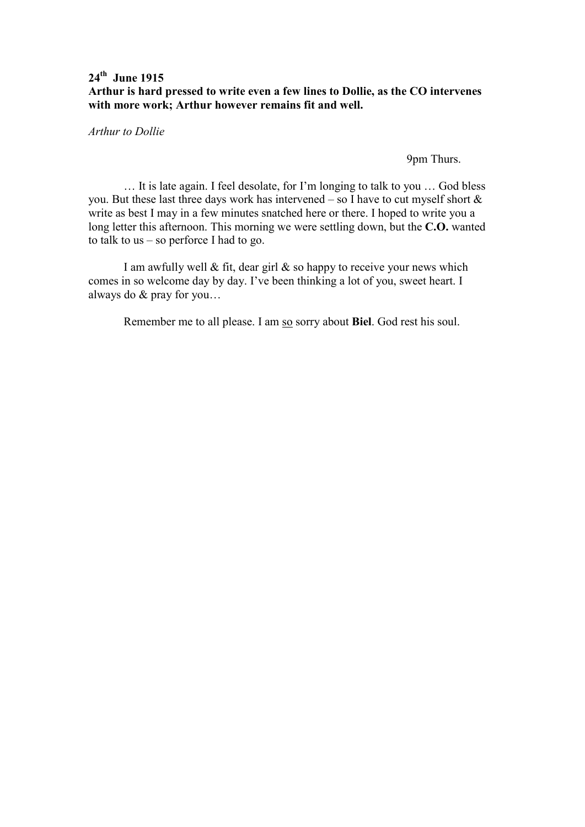# **24th June 1915 Arthur is hard pressed to write even a few lines to Dollie, as the CO intervenes with more work; Arthur however remains fit and well.**

*Arthur to Dollie* 

9pm Thurs.

 … It is late again. I feel desolate, for I'm longing to talk to you … God bless you. But these last three days work has intervened – so I have to cut myself short & write as best I may in a few minutes snatched here or there. I hoped to write you a long letter this afternoon. This morning we were settling down, but the **C.O.** wanted to talk to us – so perforce I had to go.

I am awfully well  $\&$  fit, dear girl  $\&$  so happy to receive your news which comes in so welcome day by day. I've been thinking a lot of you, sweet heart. I always do & pray for you…

Remember me to all please. I am so sorry about **Biel**. God rest his soul.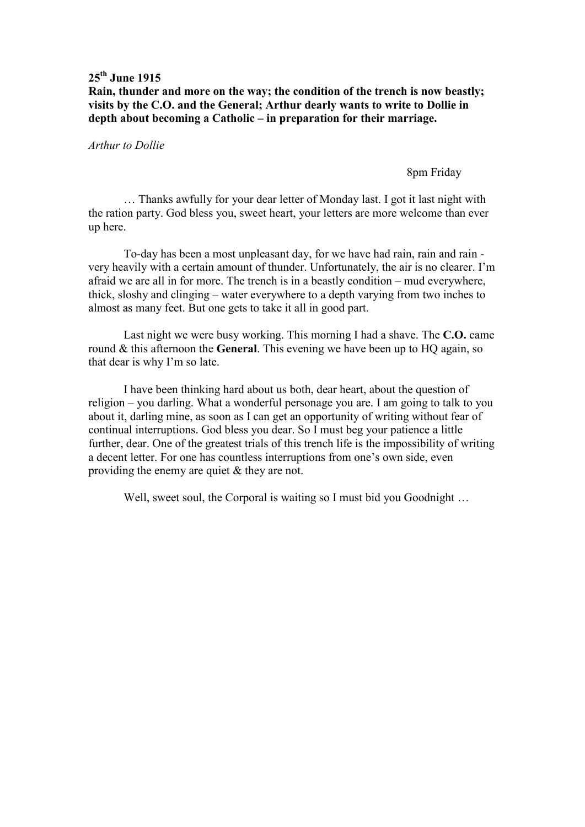## **Rain, thunder and more on the way; the condition of the trench is now beastly; visits by the C.O. and the General; Arthur dearly wants to write to Dollie in depth about becoming a Catholic – in preparation for their marriage.**

### *Arthur to Dollie*

#### 8pm Friday

 … Thanks awfully for your dear letter of Monday last. I got it last night with the ration party. God bless you, sweet heart, your letters are more welcome than ever up here.

 To-day has been a most unpleasant day, for we have had rain, rain and rain very heavily with a certain amount of thunder. Unfortunately, the air is no clearer. I'm afraid we are all in for more. The trench is in a beastly condition – mud everywhere, thick, sloshy and clinging – water everywhere to a depth varying from two inches to almost as many feet. But one gets to take it all in good part.

 Last night we were busy working. This morning I had a shave. The **C.O.** came round & this afternoon the **General**. This evening we have been up to HQ again, so that dear is why I'm so late.

 I have been thinking hard about us both, dear heart, about the question of religion – you darling. What a wonderful personage you are. I am going to talk to you about it, darling mine, as soon as I can get an opportunity of writing without fear of continual interruptions. God bless you dear. So I must beg your patience a little further, dear. One of the greatest trials of this trench life is the impossibility of writing a decent letter. For one has countless interruptions from one's own side, even providing the enemy are quiet & they are not.

Well, sweet soul, the Corporal is waiting so I must bid you Goodnight ...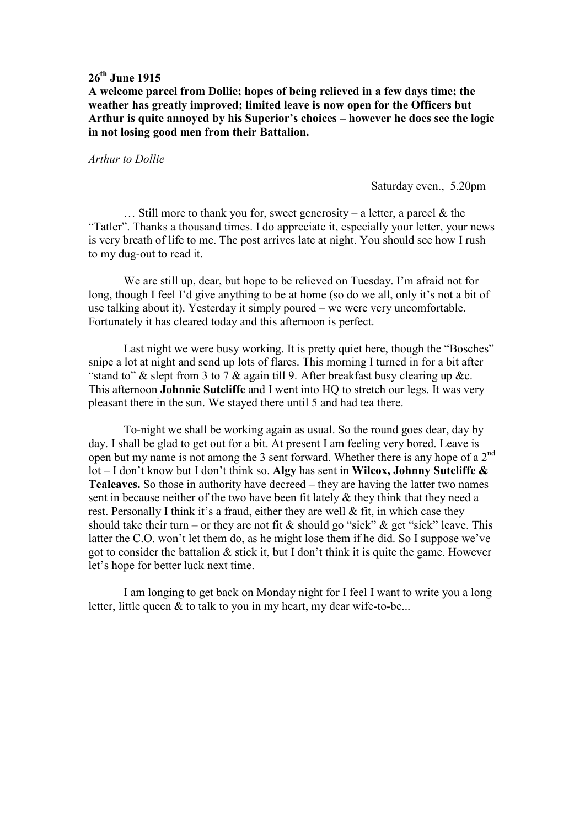**A welcome parcel from Dollie; hopes of being relieved in a few days time; the weather has greatly improved; limited leave is now open for the Officers but Arthur is quite annoyed by his Superior's choices – however he does see the logic in not losing good men from their Battalion.** 

*Arthur to Dollie* 

Saturday even., 5.20pm

... Still more to thank you for, sweet generosity – a letter, a parcel  $\&$  the "Tatler". Thanks a thousand times. I do appreciate it, especially your letter, your news is very breath of life to me. The post arrives late at night. You should see how I rush to my dug-out to read it.

 We are still up, dear, but hope to be relieved on Tuesday. I'm afraid not for long, though I feel I'd give anything to be at home (so do we all, only it's not a bit of use talking about it). Yesterday it simply poured – we were very uncomfortable. Fortunately it has cleared today and this afternoon is perfect.

 Last night we were busy working. It is pretty quiet here, though the "Bosches" snipe a lot at night and send up lots of flares. This morning I turned in for a bit after "stand to"  $\&$  slept from 3 to 7  $\&$  again till 9. After breakfast busy clearing up  $\&c$ . This afternoon **Johnnie Sutcliffe** and I went into HQ to stretch our legs. It was very pleasant there in the sun. We stayed there until 5 and had tea there.

 To-night we shall be working again as usual. So the round goes dear, day by day. I shall be glad to get out for a bit. At present I am feeling very bored. Leave is open but my name is not among the 3 sent forward. Whether there is any hope of a 2nd lot – I don't know but I don't think so. **Algy** has sent in **Wilcox, Johnny Sutcliffe & Tealeaves.** So those in authority have decreed – they are having the latter two names sent in because neither of the two have been fit lately & they think that they need a rest. Personally I think it's a fraud, either they are well & fit, in which case they should take their turn – or they are not fit & should go "sick" & get "sick" leave. This latter the C.O. won't let them do, as he might lose them if he did. So I suppose we've got to consider the battalion & stick it, but I don't think it is quite the game. However let's hope for better luck next time.

 I am longing to get back on Monday night for I feel I want to write you a long letter, little queen & to talk to you in my heart, my dear wife-to-be...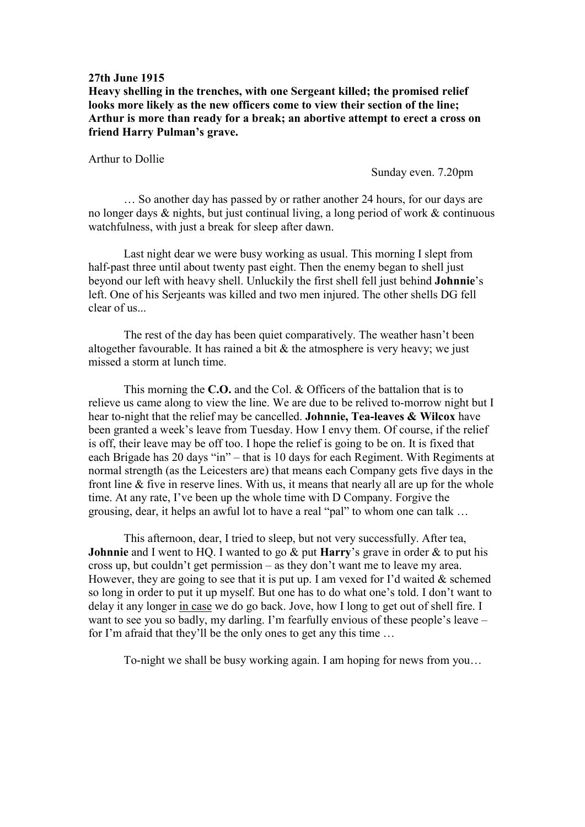**Heavy shelling in the trenches, with one Sergeant killed; the promised relief looks more likely as the new officers come to view their section of the line; Arthur is more than ready for a break; an abortive attempt to erect a cross on friend Harry Pulman's grave.** 

Arthur to Dollie

Sunday even. 7.20pm

 … So another day has passed by or rather another 24 hours, for our days are no longer days & nights, but just continual living, a long period of work & continuous watchfulness, with just a break for sleep after dawn.

 Last night dear we were busy working as usual. This morning I slept from half-past three until about twenty past eight. Then the enemy began to shell just beyond our left with heavy shell. Unluckily the first shell fell just behind **Johnnie**'s left. One of his Serjeants was killed and two men injured. The other shells DG fell clear of us...

 The rest of the day has been quiet comparatively. The weather hasn't been altogether favourable. It has rained a bit  $&$  the atmosphere is very heavy; we just missed a storm at lunch time.

 This morning the **C.O.** and the Col. & Officers of the battalion that is to relieve us came along to view the line. We are due to be relived to-morrow night but I hear to-night that the relief may be cancelled. **Johnnie, Tea-leaves & Wilcox** have been granted a week's leave from Tuesday. How I envy them. Of course, if the relief is off, their leave may be off too. I hope the relief is going to be on. It is fixed that each Brigade has 20 days "in" – that is 10 days for each Regiment. With Regiments at normal strength (as the Leicesters are) that means each Company gets five days in the front line & five in reserve lines. With us, it means that nearly all are up for the whole time. At any rate, I've been up the whole time with D Company. Forgive the grousing, dear, it helps an awful lot to have a real "pal" to whom one can talk …

 This afternoon, dear, I tried to sleep, but not very successfully. After tea, **Johnnie** and I went to HQ. I wanted to go & put **Harry**'s grave in order & to put his cross up, but couldn't get permission – as they don't want me to leave my area. However, they are going to see that it is put up. I am vexed for I'd waited  $\&$  schemed so long in order to put it up myself. But one has to do what one's told. I don't want to delay it any longer in case we do go back. Jove, how I long to get out of shell fire. I want to see you so badly, my darling. I'm fearfully envious of these people's leave – for I'm afraid that they'll be the only ones to get any this time …

To-night we shall be busy working again. I am hoping for news from you…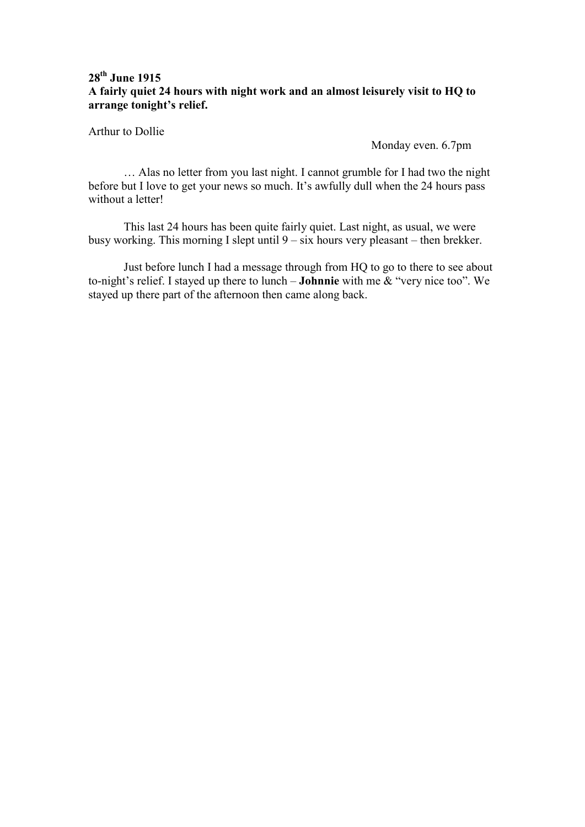# **28th June 1915 A fairly quiet 24 hours with night work and an almost leisurely visit to HQ to arrange tonight's relief.**

Arthur to Dollie

Monday even. 6.7pm

 … Alas no letter from you last night. I cannot grumble for I had two the night before but I love to get your news so much. It's awfully dull when the 24 hours pass without a letter!

 This last 24 hours has been quite fairly quiet. Last night, as usual, we were busy working. This morning I slept until 9 – six hours very pleasant – then brekker.

 Just before lunch I had a message through from HQ to go to there to see about to-night's relief. I stayed up there to lunch – **Johnnie** with me & "very nice too". We stayed up there part of the afternoon then came along back.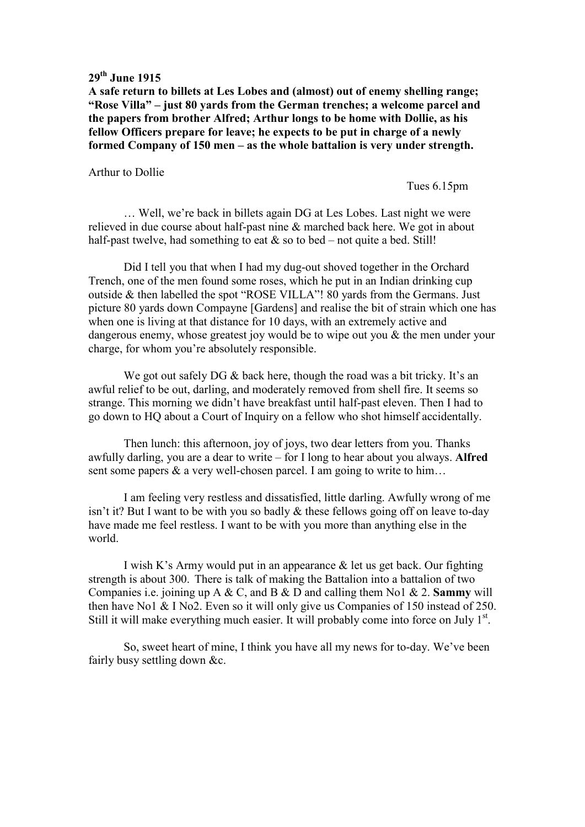**A safe return to billets at Les Lobes and (almost) out of enemy shelling range; "Rose Villa" – just 80 yards from the German trenches; a welcome parcel and the papers from brother Alfred; Arthur longs to be home with Dollie, as his fellow Officers prepare for leave; he expects to be put in charge of a newly formed Company of 150 men – as the whole battalion is very under strength.** 

Arthur to Dollie

Tues 6.15pm

 … Well, we're back in billets again DG at Les Lobes. Last night we were relieved in due course about half-past nine & marched back here. We got in about half-past twelve, had something to eat  $&$  so to bed – not quite a bed. Still!

 Did I tell you that when I had my dug-out shoved together in the Orchard Trench, one of the men found some roses, which he put in an Indian drinking cup outside & then labelled the spot "ROSE VILLA"! 80 yards from the Germans. Just picture 80 yards down Compayne [Gardens] and realise the bit of strain which one has when one is living at that distance for 10 days, with an extremely active and dangerous enemy, whose greatest joy would be to wipe out you & the men under your charge, for whom you're absolutely responsible.

We got out safely DG & back here, though the road was a bit tricky. It's an awful relief to be out, darling, and moderately removed from shell fire. It seems so strange. This morning we didn't have breakfast until half-past eleven. Then I had to go down to HQ about a Court of Inquiry on a fellow who shot himself accidentally.

 Then lunch: this afternoon, joy of joys, two dear letters from you. Thanks awfully darling, you are a dear to write – for I long to hear about you always. **Alfred** sent some papers & a very well-chosen parcel. I am going to write to him...

 I am feeling very restless and dissatisfied, little darling. Awfully wrong of me isn't it? But I want to be with you so badly & these fellows going off on leave to-day have made me feel restless. I want to be with you more than anything else in the world.

I wish K's Army would put in an appearance & let us get back. Our fighting strength is about 300. There is talk of making the Battalion into a battalion of two Companies i.e. joining up A & C, and B & D and calling them No1 & 2. **Sammy** will then have No1 & I No2. Even so it will only give us Companies of 150 instead of 250. Still it will make everything much easier. It will probably come into force on July  $1<sup>st</sup>$ .

 So, sweet heart of mine, I think you have all my news for to-day. We've been fairly busy settling down &c.